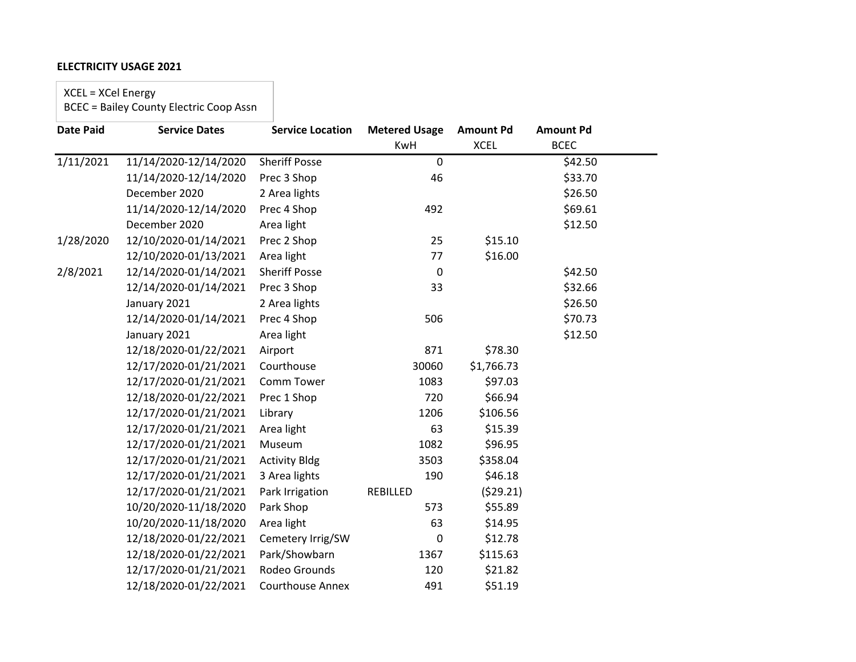XCEL = XCel Energy

| <b>Date Paid</b> | <b>Service Dates</b>  | <b>Service Location</b> | <b>Metered Usage</b> | <b>Amount Pd</b> | <b>Amount Pd</b> |  |
|------------------|-----------------------|-------------------------|----------------------|------------------|------------------|--|
|                  |                       |                         | KwH                  | <b>XCEL</b>      | <b>BCEC</b>      |  |
| 1/11/2021        | 11/14/2020-12/14/2020 | <b>Sheriff Posse</b>    | $\mathbf 0$          |                  | \$42.50          |  |
|                  | 11/14/2020-12/14/2020 | Prec 3 Shop             | 46                   |                  | \$33.70          |  |
|                  | December 2020         | 2 Area lights           |                      |                  | \$26.50          |  |
|                  | 11/14/2020-12/14/2020 | Prec 4 Shop             | 492                  |                  | \$69.61          |  |
|                  | December 2020         | Area light              |                      |                  | \$12.50          |  |
| 1/28/2020        | 12/10/2020-01/14/2021 | Prec 2 Shop             | 25                   | \$15.10          |                  |  |
|                  | 12/10/2020-01/13/2021 | Area light              | 77                   | \$16.00          |                  |  |
| 2/8/2021         | 12/14/2020-01/14/2021 | <b>Sheriff Posse</b>    | $\pmb{0}$            |                  | \$42.50          |  |
|                  | 12/14/2020-01/14/2021 | Prec 3 Shop             | 33                   |                  | \$32.66          |  |
|                  | January 2021          | 2 Area lights           |                      |                  | \$26.50          |  |
|                  | 12/14/2020-01/14/2021 | Prec 4 Shop             | 506                  |                  | \$70.73          |  |
|                  | January 2021          | Area light              |                      |                  | \$12.50          |  |
|                  | 12/18/2020-01/22/2021 | Airport                 | 871                  | \$78.30          |                  |  |
|                  | 12/17/2020-01/21/2021 | Courthouse              | 30060                | \$1,766.73       |                  |  |
|                  | 12/17/2020-01/21/2021 | Comm Tower              | 1083                 | \$97.03          |                  |  |
|                  | 12/18/2020-01/22/2021 | Prec 1 Shop             | 720                  | \$66.94          |                  |  |
|                  | 12/17/2020-01/21/2021 | Library                 | 1206                 | \$106.56         |                  |  |
|                  | 12/17/2020-01/21/2021 | Area light              | 63                   | \$15.39          |                  |  |
|                  | 12/17/2020-01/21/2021 | Museum                  | 1082                 | \$96.95          |                  |  |
|                  | 12/17/2020-01/21/2021 | <b>Activity Bldg</b>    | 3503                 | \$358.04         |                  |  |
|                  | 12/17/2020-01/21/2021 | 3 Area lights           | 190                  | \$46.18          |                  |  |
|                  | 12/17/2020-01/21/2021 | Park Irrigation         | REBILLED             | (529.21)         |                  |  |
|                  | 10/20/2020-11/18/2020 | Park Shop               | 573                  | \$55.89          |                  |  |
|                  | 10/20/2020-11/18/2020 | Area light              | 63                   | \$14.95          |                  |  |
|                  | 12/18/2020-01/22/2021 | Cemetery Irrig/SW       | $\mathbf 0$          | \$12.78          |                  |  |
|                  | 12/18/2020-01/22/2021 | Park/Showbarn           | 1367                 | \$115.63         |                  |  |
|                  | 12/17/2020-01/21/2021 | Rodeo Grounds           | 120                  | \$21.82          |                  |  |
|                  | 12/18/2020-01/22/2021 | <b>Courthouse Annex</b> | 491                  | \$51.19          |                  |  |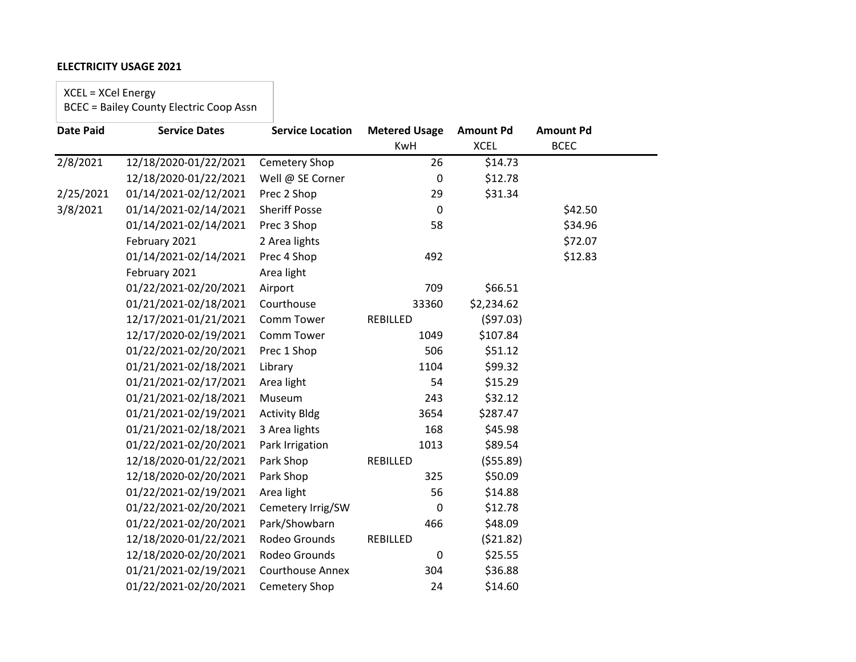XCEL = XCel Energy

| <b>Date Paid</b> | <b>Service Dates</b>  | <b>Service Location</b> | <b>Metered Usage</b> | <b>Amount Pd</b> | <b>Amount Pd</b> |  |
|------------------|-----------------------|-------------------------|----------------------|------------------|------------------|--|
|                  |                       |                         | KwH                  | <b>XCEL</b>      | <b>BCEC</b>      |  |
| 2/8/2021         | 12/18/2020-01/22/2021 | Cemetery Shop           | 26                   | \$14.73          |                  |  |
|                  | 12/18/2020-01/22/2021 | Well @ SE Corner        | 0                    | \$12.78          |                  |  |
| 2/25/2021        | 01/14/2021-02/12/2021 | Prec 2 Shop             | 29                   | \$31.34          |                  |  |
| 3/8/2021         | 01/14/2021-02/14/2021 | <b>Sheriff Posse</b>    | $\mathbf 0$          |                  | \$42.50          |  |
|                  | 01/14/2021-02/14/2021 | Prec 3 Shop             | 58                   |                  | \$34.96          |  |
|                  | February 2021         | 2 Area lights           |                      |                  | \$72.07          |  |
|                  | 01/14/2021-02/14/2021 | Prec 4 Shop             | 492                  |                  | \$12.83          |  |
|                  | February 2021         | Area light              |                      |                  |                  |  |
|                  | 01/22/2021-02/20/2021 | Airport                 | 709                  | \$66.51          |                  |  |
|                  | 01/21/2021-02/18/2021 | Courthouse              | 33360                | \$2,234.62       |                  |  |
|                  | 12/17/2021-01/21/2021 | Comm Tower              | REBILLED             | (597.03)         |                  |  |
|                  | 12/17/2020-02/19/2021 | Comm Tower              | 1049                 | \$107.84         |                  |  |
|                  | 01/22/2021-02/20/2021 | Prec 1 Shop             | 506                  | \$51.12          |                  |  |
|                  | 01/21/2021-02/18/2021 | Library                 | 1104                 | \$99.32          |                  |  |
|                  | 01/21/2021-02/17/2021 | Area light              | 54                   | \$15.29          |                  |  |
|                  | 01/21/2021-02/18/2021 | Museum                  | 243                  | \$32.12          |                  |  |
|                  | 01/21/2021-02/19/2021 | <b>Activity Bldg</b>    | 3654                 | \$287.47         |                  |  |
|                  | 01/21/2021-02/18/2021 | 3 Area lights           | 168                  | \$45.98          |                  |  |
|                  | 01/22/2021-02/20/2021 | Park Irrigation         | 1013                 | \$89.54          |                  |  |
|                  | 12/18/2020-01/22/2021 | Park Shop               | REBILLED             | ( \$55.89)       |                  |  |
|                  | 12/18/2020-02/20/2021 | Park Shop               | 325                  | \$50.09          |                  |  |
|                  | 01/22/2021-02/19/2021 | Area light              | 56                   | \$14.88          |                  |  |
|                  | 01/22/2021-02/20/2021 | Cemetery Irrig/SW       | 0                    | \$12.78          |                  |  |
|                  | 01/22/2021-02/20/2021 | Park/Showbarn           | 466                  | \$48.09          |                  |  |
|                  | 12/18/2020-01/22/2021 | Rodeo Grounds           | REBILLED             | (521.82)         |                  |  |
|                  | 12/18/2020-02/20/2021 | Rodeo Grounds           | $\pmb{0}$            | \$25.55          |                  |  |
|                  | 01/21/2021-02/19/2021 | <b>Courthouse Annex</b> | 304                  | \$36.88          |                  |  |
|                  | 01/22/2021-02/20/2021 | Cemetery Shop           | 24                   | \$14.60          |                  |  |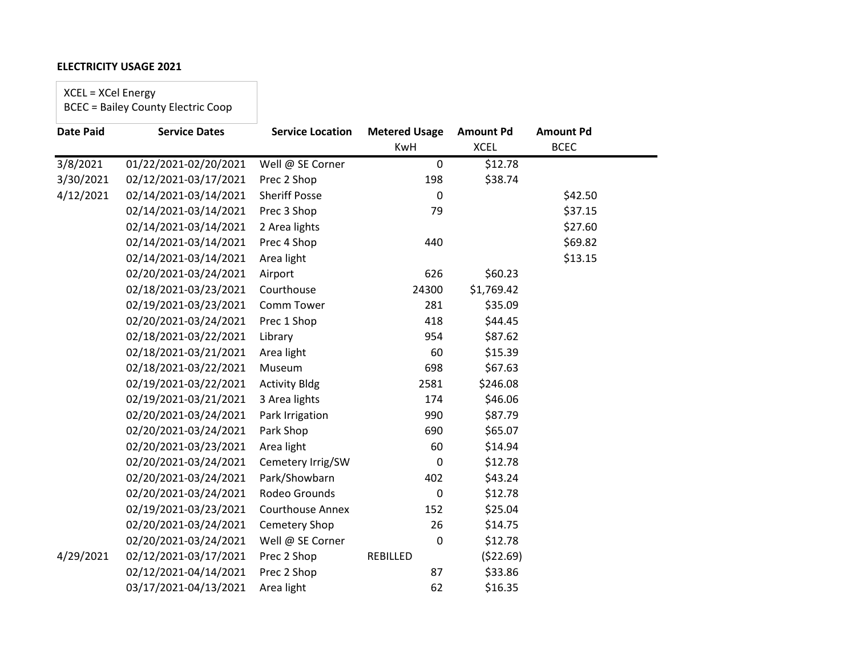XCEL = XCel Energy

| <b>Date Paid</b> | <b>Service Dates</b>  | <b>Service Location</b> | <b>Metered Usage</b> | <b>Amount Pd</b> | <b>Amount Pd</b> |  |
|------------------|-----------------------|-------------------------|----------------------|------------------|------------------|--|
|                  |                       |                         | <b>KwH</b>           | <b>XCEL</b>      | <b>BCEC</b>      |  |
| 3/8/2021         | 01/22/2021-02/20/2021 | Well @ SE Corner        | $\mathbf 0$          | \$12.78          |                  |  |
| 3/30/2021        | 02/12/2021-03/17/2021 | Prec 2 Shop             | 198                  | \$38.74          |                  |  |
| 4/12/2021        | 02/14/2021-03/14/2021 | <b>Sheriff Posse</b>    | 0                    |                  | \$42.50          |  |
|                  | 02/14/2021-03/14/2021 | Prec 3 Shop             | 79                   |                  | \$37.15          |  |
|                  | 02/14/2021-03/14/2021 | 2 Area lights           |                      |                  | \$27.60          |  |
|                  | 02/14/2021-03/14/2021 | Prec 4 Shop             | 440                  |                  | \$69.82          |  |
|                  | 02/14/2021-03/14/2021 | Area light              |                      |                  | \$13.15          |  |
|                  | 02/20/2021-03/24/2021 | Airport                 | 626                  | \$60.23          |                  |  |
|                  | 02/18/2021-03/23/2021 | Courthouse              | 24300                | \$1,769.42       |                  |  |
|                  | 02/19/2021-03/23/2021 | Comm Tower              | 281                  | \$35.09          |                  |  |
|                  | 02/20/2021-03/24/2021 | Prec 1 Shop             | 418                  | \$44.45          |                  |  |
|                  | 02/18/2021-03/22/2021 | Library                 | 954                  | \$87.62          |                  |  |
|                  | 02/18/2021-03/21/2021 | Area light              | 60                   | \$15.39          |                  |  |
|                  | 02/18/2021-03/22/2021 | Museum                  | 698                  | \$67.63          |                  |  |
|                  | 02/19/2021-03/22/2021 | <b>Activity Bldg</b>    | 2581                 | \$246.08         |                  |  |
|                  | 02/19/2021-03/21/2021 | 3 Area lights           | 174                  | \$46.06          |                  |  |
|                  | 02/20/2021-03/24/2021 | Park Irrigation         | 990                  | \$87.79          |                  |  |
|                  | 02/20/2021-03/24/2021 | Park Shop               | 690                  | \$65.07          |                  |  |
|                  | 02/20/2021-03/23/2021 | Area light              | 60                   | \$14.94          |                  |  |
|                  | 02/20/2021-03/24/2021 | Cemetery Irrig/SW       | 0                    | \$12.78          |                  |  |
|                  | 02/20/2021-03/24/2021 | Park/Showbarn           | 402                  | \$43.24          |                  |  |
|                  | 02/20/2021-03/24/2021 | Rodeo Grounds           | $\pmb{0}$            | \$12.78          |                  |  |
|                  | 02/19/2021-03/23/2021 | <b>Courthouse Annex</b> | 152                  | \$25.04          |                  |  |
|                  | 02/20/2021-03/24/2021 | Cemetery Shop           | 26                   | \$14.75          |                  |  |
|                  | 02/20/2021-03/24/2021 | Well @ SE Corner        | 0                    | \$12.78          |                  |  |
| 4/29/2021        | 02/12/2021-03/17/2021 | Prec 2 Shop             | REBILLED             | (\$22.69)        |                  |  |
|                  | 02/12/2021-04/14/2021 | Prec 2 Shop             | 87                   | \$33.86          |                  |  |
|                  | 03/17/2021-04/13/2021 | Area light              | 62                   | \$16.35          |                  |  |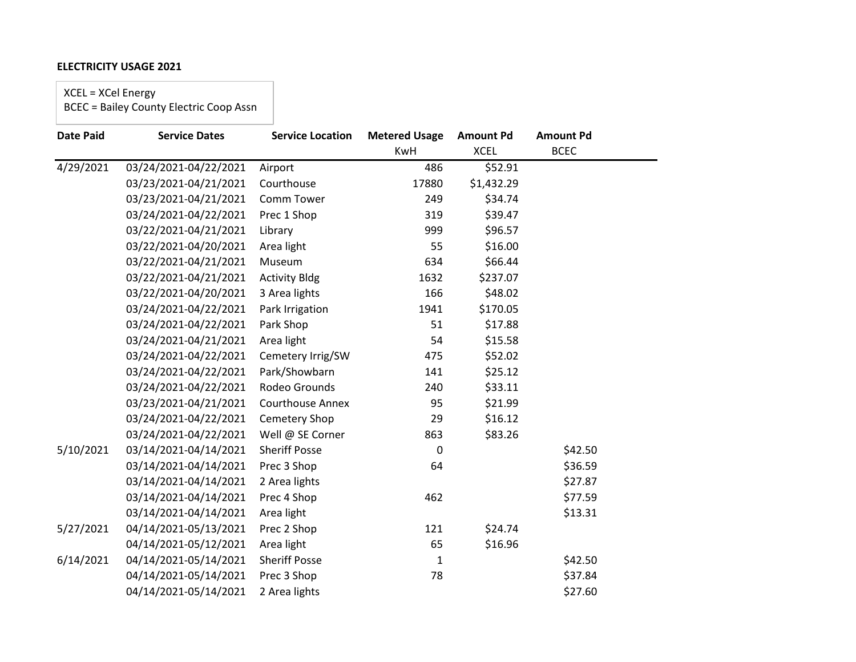XCEL = XCel Energy

| <b>Date Paid</b> | <b>Service Dates</b>  | <b>Service Location</b> | <b>Metered Usage</b> | <b>Amount Pd</b> | <b>Amount Pd</b> |
|------------------|-----------------------|-------------------------|----------------------|------------------|------------------|
|                  |                       |                         | KwH                  | <b>XCEL</b>      | <b>BCEC</b>      |
| 4/29/2021        | 03/24/2021-04/22/2021 | Airport                 | 486                  | \$52.91          |                  |
|                  | 03/23/2021-04/21/2021 | Courthouse              | 17880                | \$1,432.29       |                  |
|                  | 03/23/2021-04/21/2021 | Comm Tower              | 249                  | \$34.74          |                  |
|                  | 03/24/2021-04/22/2021 | Prec 1 Shop             | 319                  | \$39.47          |                  |
|                  | 03/22/2021-04/21/2021 | Library                 | 999                  | \$96.57          |                  |
|                  | 03/22/2021-04/20/2021 | Area light              | 55                   | \$16.00          |                  |
|                  | 03/22/2021-04/21/2021 | Museum                  | 634                  | \$66.44          |                  |
|                  | 03/22/2021-04/21/2021 | <b>Activity Bldg</b>    | 1632                 | \$237.07         |                  |
|                  | 03/22/2021-04/20/2021 | 3 Area lights           | 166                  | \$48.02          |                  |
|                  | 03/24/2021-04/22/2021 | Park Irrigation         | 1941                 | \$170.05         |                  |
|                  | 03/24/2021-04/22/2021 | Park Shop               | 51                   | \$17.88          |                  |
|                  | 03/24/2021-04/21/2021 | Area light              | 54                   | \$15.58          |                  |
|                  | 03/24/2021-04/22/2021 | Cemetery Irrig/SW       | 475                  | \$52.02          |                  |
|                  | 03/24/2021-04/22/2021 | Park/Showbarn           | 141                  | \$25.12          |                  |
|                  | 03/24/2021-04/22/2021 | Rodeo Grounds           | 240                  | \$33.11          |                  |
|                  | 03/23/2021-04/21/2021 | <b>Courthouse Annex</b> | 95                   | \$21.99          |                  |
|                  | 03/24/2021-04/22/2021 | Cemetery Shop           | 29                   | \$16.12          |                  |
|                  | 03/24/2021-04/22/2021 | Well @ SE Corner        | 863                  | \$83.26          |                  |
| 5/10/2021        | 03/14/2021-04/14/2021 | <b>Sheriff Posse</b>    | $\mathbf{0}$         |                  | \$42.50          |
|                  | 03/14/2021-04/14/2021 | Prec 3 Shop             | 64                   |                  | \$36.59          |
|                  | 03/14/2021-04/14/2021 | 2 Area lights           |                      |                  | \$27.87          |
|                  | 03/14/2021-04/14/2021 | Prec 4 Shop             | 462                  |                  | \$77.59          |
|                  | 03/14/2021-04/14/2021 | Area light              |                      |                  | \$13.31          |
| 5/27/2021        | 04/14/2021-05/13/2021 | Prec 2 Shop             | 121                  | \$24.74          |                  |
|                  | 04/14/2021-05/12/2021 | Area light              | 65                   | \$16.96          |                  |
| 6/14/2021        | 04/14/2021-05/14/2021 | <b>Sheriff Posse</b>    | $\mathbf{1}$         |                  | \$42.50          |
|                  | 04/14/2021-05/14/2021 | Prec 3 Shop             | 78                   |                  | \$37.84          |
|                  | 04/14/2021-05/14/2021 | 2 Area lights           |                      |                  | \$27.60          |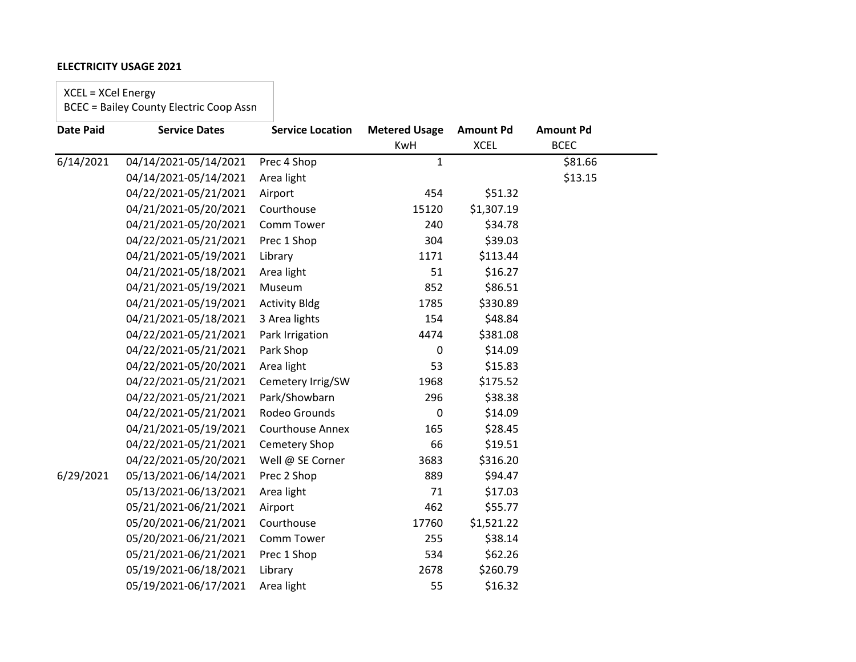XCEL = XCel Energy

| <b>Date Paid</b> | <b>Service Dates</b>  | <b>Service Location</b> | <b>Metered Usage</b> | <b>Amount Pd</b> | <b>Amount Pd</b> |  |
|------------------|-----------------------|-------------------------|----------------------|------------------|------------------|--|
|                  |                       |                         | <b>KwH</b>           | <b>XCEL</b>      | <b>BCEC</b>      |  |
| 6/14/2021        | 04/14/2021-05/14/2021 | Prec 4 Shop             | $\mathbf{1}$         |                  | \$81.66          |  |
|                  | 04/14/2021-05/14/2021 | Area light              |                      |                  | \$13.15          |  |
|                  | 04/22/2021-05/21/2021 | Airport                 | 454                  | \$51.32          |                  |  |
|                  | 04/21/2021-05/20/2021 | Courthouse              | 15120                | \$1,307.19       |                  |  |
|                  | 04/21/2021-05/20/2021 | Comm Tower              | 240                  | \$34.78          |                  |  |
|                  | 04/22/2021-05/21/2021 | Prec 1 Shop             | 304                  | \$39.03          |                  |  |
|                  | 04/21/2021-05/19/2021 | Library                 | 1171                 | \$113.44         |                  |  |
|                  | 04/21/2021-05/18/2021 | Area light              | 51                   | \$16.27          |                  |  |
|                  | 04/21/2021-05/19/2021 | Museum                  | 852                  | \$86.51          |                  |  |
|                  | 04/21/2021-05/19/2021 | <b>Activity Bldg</b>    | 1785                 | \$330.89         |                  |  |
|                  | 04/21/2021-05/18/2021 | 3 Area lights           | 154                  | \$48.84          |                  |  |
|                  | 04/22/2021-05/21/2021 | Park Irrigation         | 4474                 | \$381.08         |                  |  |
|                  | 04/22/2021-05/21/2021 | Park Shop               | 0                    | \$14.09          |                  |  |
|                  | 04/22/2021-05/20/2021 | Area light              | 53                   | \$15.83          |                  |  |
|                  | 04/22/2021-05/21/2021 | Cemetery Irrig/SW       | 1968                 | \$175.52         |                  |  |
|                  | 04/22/2021-05/21/2021 | Park/Showbarn           | 296                  | \$38.38          |                  |  |
|                  | 04/22/2021-05/21/2021 | Rodeo Grounds           | 0                    | \$14.09          |                  |  |
|                  | 04/21/2021-05/19/2021 | <b>Courthouse Annex</b> | 165                  | \$28.45          |                  |  |
|                  | 04/22/2021-05/21/2021 | Cemetery Shop           | 66                   | \$19.51          |                  |  |
|                  | 04/22/2021-05/20/2021 | Well @ SE Corner        | 3683                 | \$316.20         |                  |  |
| 6/29/2021        | 05/13/2021-06/14/2021 | Prec 2 Shop             | 889                  | \$94.47          |                  |  |
|                  | 05/13/2021-06/13/2021 | Area light              | 71                   | \$17.03          |                  |  |
|                  | 05/21/2021-06/21/2021 | Airport                 | 462                  | \$55.77          |                  |  |
|                  | 05/20/2021-06/21/2021 | Courthouse              | 17760                | \$1,521.22       |                  |  |
|                  | 05/20/2021-06/21/2021 | Comm Tower              | 255                  | \$38.14          |                  |  |
|                  | 05/21/2021-06/21/2021 | Prec 1 Shop             | 534                  | \$62.26          |                  |  |
|                  | 05/19/2021-06/18/2021 | Library                 | 2678                 | \$260.79         |                  |  |
|                  | 05/19/2021-06/17/2021 | Area light              | 55                   | \$16.32          |                  |  |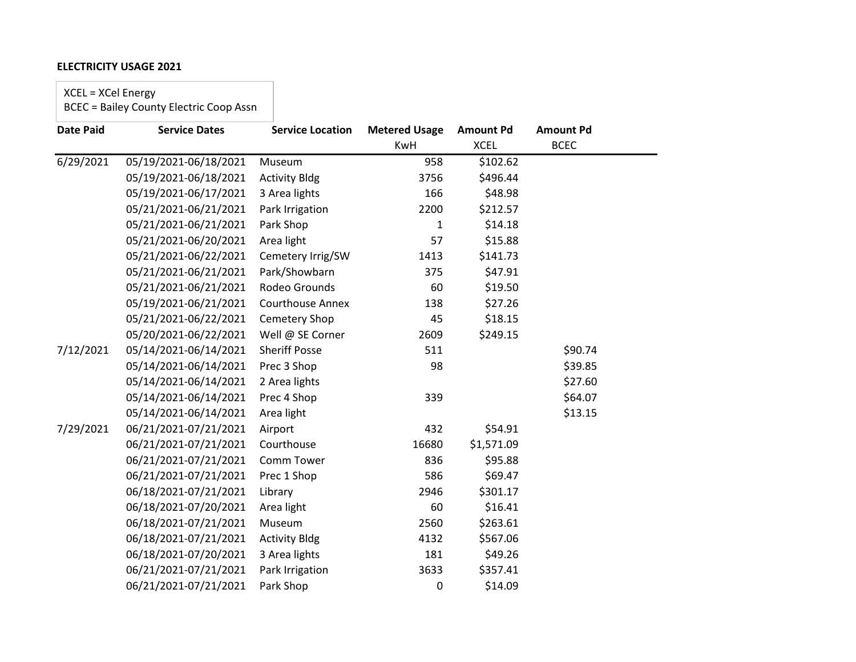XCEL = XCel Energy

| <b>Date Paid</b> | <b>Service Dates</b>  | <b>Service Location</b> | <b>Metered Usage</b> | <b>Amount Pd</b> | <b>Amount Pd</b> |
|------------------|-----------------------|-------------------------|----------------------|------------------|------------------|
|                  |                       |                         | <b>KwH</b>           | <b>XCEL</b>      | <b>BCEC</b>      |
| 6/29/2021        | 05/19/2021-06/18/2021 | Museum                  | 958                  | \$102.62         |                  |
|                  | 05/19/2021-06/18/2021 | <b>Activity Bldg</b>    | 3756                 | \$496.44         |                  |
|                  | 05/19/2021-06/17/2021 | 3 Area lights           | 166                  | \$48.98          |                  |
|                  | 05/21/2021-06/21/2021 | Park Irrigation         | 2200                 | \$212.57         |                  |
|                  | 05/21/2021-06/21/2021 | Park Shop               | $\mathbf{1}$         | \$14.18          |                  |
|                  | 05/21/2021-06/20/2021 | Area light              | 57                   | \$15.88          |                  |
|                  | 05/21/2021-06/22/2021 | Cemetery Irrig/SW       | 1413                 | \$141.73         |                  |
|                  | 05/21/2021-06/21/2021 | Park/Showbarn           | 375                  | \$47.91          |                  |
|                  | 05/21/2021-06/21/2021 | Rodeo Grounds           | 60                   | \$19.50          |                  |
|                  | 05/19/2021-06/21/2021 | <b>Courthouse Annex</b> | 138                  | \$27.26          |                  |
|                  | 05/21/2021-06/22/2021 | Cemetery Shop           | 45                   | \$18.15          |                  |
|                  | 05/20/2021-06/22/2021 | Well @ SE Corner        | 2609                 | \$249.15         |                  |
| 7/12/2021        | 05/14/2021-06/14/2021 | <b>Sheriff Posse</b>    | 511                  |                  | \$90.74          |
|                  | 05/14/2021-06/14/2021 | Prec 3 Shop             | 98                   |                  | \$39.85          |
|                  | 05/14/2021-06/14/2021 | 2 Area lights           |                      |                  | \$27.60          |
|                  | 05/14/2021-06/14/2021 | Prec 4 Shop             | 339                  |                  | \$64.07          |
|                  | 05/14/2021-06/14/2021 | Area light              |                      |                  | \$13.15          |
| 7/29/2021        | 06/21/2021-07/21/2021 | Airport                 | 432                  | \$54.91          |                  |
|                  | 06/21/2021-07/21/2021 | Courthouse              | 16680                | \$1,571.09       |                  |
|                  | 06/21/2021-07/21/2021 | Comm Tower              | 836                  | \$95.88          |                  |
|                  | 06/21/2021-07/21/2021 | Prec 1 Shop             | 586                  | \$69.47          |                  |
|                  | 06/18/2021-07/21/2021 | Library                 | 2946                 | \$301.17         |                  |
|                  | 06/18/2021-07/20/2021 | Area light              | 60                   | \$16.41          |                  |
|                  | 06/18/2021-07/21/2021 | Museum                  | 2560                 | \$263.61         |                  |
|                  | 06/18/2021-07/21/2021 | <b>Activity Bldg</b>    | 4132                 | \$567.06         |                  |
|                  | 06/18/2021-07/20/2021 | 3 Area lights           | 181                  | \$49.26          |                  |
|                  | 06/21/2021-07/21/2021 | Park Irrigation         | 3633                 | \$357.41         |                  |
|                  | 06/21/2021-07/21/2021 | Park Shop               | 0                    | \$14.09          |                  |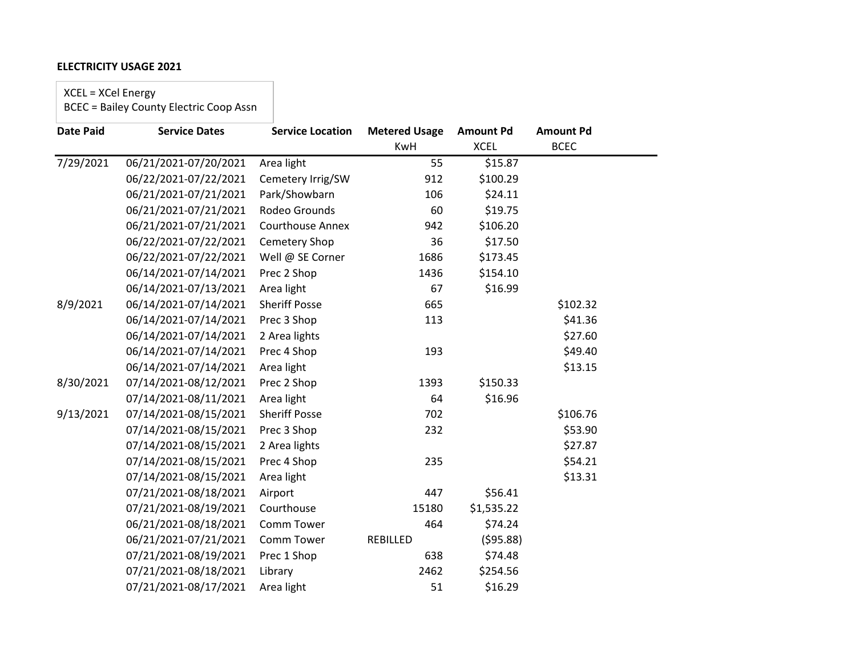XCEL = XCel Energy

| <b>Date Paid</b> | <b>Service Dates</b>  | <b>Service Location</b> | <b>Metered Usage</b> | <b>Amount Pd</b> | <b>Amount Pd</b> |  |
|------------------|-----------------------|-------------------------|----------------------|------------------|------------------|--|
|                  |                       |                         | KwH                  | <b>XCEL</b>      | <b>BCEC</b>      |  |
| 7/29/2021        | 06/21/2021-07/20/2021 | Area light              | 55                   | \$15.87          |                  |  |
|                  | 06/22/2021-07/22/2021 | Cemetery Irrig/SW       | 912                  | \$100.29         |                  |  |
|                  | 06/21/2021-07/21/2021 | Park/Showbarn           | 106                  | \$24.11          |                  |  |
|                  | 06/21/2021-07/21/2021 | Rodeo Grounds           | 60                   | \$19.75          |                  |  |
|                  | 06/21/2021-07/21/2021 | <b>Courthouse Annex</b> | 942                  | \$106.20         |                  |  |
|                  | 06/22/2021-07/22/2021 | Cemetery Shop           | 36                   | \$17.50          |                  |  |
|                  | 06/22/2021-07/22/2021 | Well @ SE Corner        | 1686                 | \$173.45         |                  |  |
|                  | 06/14/2021-07/14/2021 | Prec 2 Shop             | 1436                 | \$154.10         |                  |  |
|                  | 06/14/2021-07/13/2021 | Area light              | 67                   | \$16.99          |                  |  |
| 8/9/2021         | 06/14/2021-07/14/2021 | <b>Sheriff Posse</b>    | 665                  |                  | \$102.32         |  |
|                  | 06/14/2021-07/14/2021 | Prec 3 Shop             | 113                  |                  | \$41.36          |  |
|                  | 06/14/2021-07/14/2021 | 2 Area lights           |                      |                  | \$27.60          |  |
|                  | 06/14/2021-07/14/2021 | Prec 4 Shop             | 193                  |                  | \$49.40          |  |
|                  | 06/14/2021-07/14/2021 | Area light              |                      |                  | \$13.15          |  |
| 8/30/2021        | 07/14/2021-08/12/2021 | Prec 2 Shop             | 1393                 | \$150.33         |                  |  |
|                  | 07/14/2021-08/11/2021 | Area light              | 64                   | \$16.96          |                  |  |
| 9/13/2021        | 07/14/2021-08/15/2021 | <b>Sheriff Posse</b>    | 702                  |                  | \$106.76         |  |
|                  | 07/14/2021-08/15/2021 | Prec 3 Shop             | 232                  |                  | \$53.90          |  |
|                  | 07/14/2021-08/15/2021 | 2 Area lights           |                      |                  | \$27.87          |  |
|                  | 07/14/2021-08/15/2021 | Prec 4 Shop             | 235                  |                  | \$54.21          |  |
|                  | 07/14/2021-08/15/2021 | Area light              |                      |                  | \$13.31          |  |
|                  | 07/21/2021-08/18/2021 | Airport                 | 447                  | \$56.41          |                  |  |
|                  | 07/21/2021-08/19/2021 | Courthouse              | 15180                | \$1,535.22       |                  |  |
|                  | 06/21/2021-08/18/2021 | Comm Tower              | 464                  | \$74.24          |                  |  |
|                  | 06/21/2021-07/21/2021 | Comm Tower              | REBILLED             | (595.88)         |                  |  |
|                  | 07/21/2021-08/19/2021 | Prec 1 Shop             | 638                  | \$74.48          |                  |  |
|                  | 07/21/2021-08/18/2021 | Library                 | 2462                 | \$254.56         |                  |  |
|                  | 07/21/2021-08/17/2021 | Area light              | 51                   | \$16.29          |                  |  |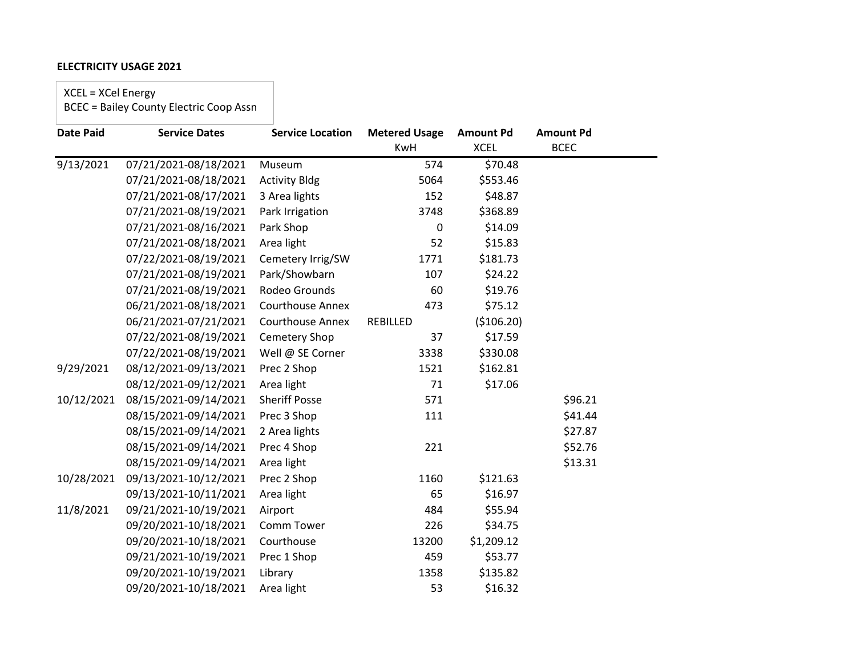XCEL = XCel Energy

| <b>Date Paid</b> | <b>Service Dates</b>  | <b>Service Location</b> | <b>Metered Usage</b> | <b>Amount Pd</b> | <b>Amount Pd</b> |
|------------------|-----------------------|-------------------------|----------------------|------------------|------------------|
|                  |                       |                         | <b>KwH</b>           | <b>XCEL</b>      | <b>BCEC</b>      |
| 9/13/2021        | 07/21/2021-08/18/2021 | Museum                  | 574                  | \$70.48          |                  |
|                  | 07/21/2021-08/18/2021 | <b>Activity Bldg</b>    | 5064                 | \$553.46         |                  |
|                  | 07/21/2021-08/17/2021 | 3 Area lights           | 152                  | \$48.87          |                  |
|                  | 07/21/2021-08/19/2021 | Park Irrigation         | 3748                 | \$368.89         |                  |
|                  | 07/21/2021-08/16/2021 | Park Shop               | 0                    | \$14.09          |                  |
|                  | 07/21/2021-08/18/2021 | Area light              | 52                   | \$15.83          |                  |
|                  | 07/22/2021-08/19/2021 | Cemetery Irrig/SW       | 1771                 | \$181.73         |                  |
|                  | 07/21/2021-08/19/2021 | Park/Showbarn           | 107                  | \$24.22          |                  |
|                  | 07/21/2021-08/19/2021 | Rodeo Grounds           | 60                   | \$19.76          |                  |
|                  | 06/21/2021-08/18/2021 | <b>Courthouse Annex</b> | 473                  | \$75.12          |                  |
|                  | 06/21/2021-07/21/2021 | <b>Courthouse Annex</b> | <b>REBILLED</b>      | (\$106.20)       |                  |
|                  | 07/22/2021-08/19/2021 | Cemetery Shop           | 37                   | \$17.59          |                  |
|                  | 07/22/2021-08/19/2021 | Well @ SE Corner        | 3338                 | \$330.08         |                  |
| 9/29/2021        | 08/12/2021-09/13/2021 | Prec 2 Shop             | 1521                 | \$162.81         |                  |
|                  | 08/12/2021-09/12/2021 | Area light              | 71                   | \$17.06          |                  |
| 10/12/2021       | 08/15/2021-09/14/2021 | <b>Sheriff Posse</b>    | 571                  |                  | \$96.21          |
|                  | 08/15/2021-09/14/2021 | Prec 3 Shop             | 111                  |                  | \$41.44          |
|                  | 08/15/2021-09/14/2021 | 2 Area lights           |                      |                  | \$27.87          |
|                  | 08/15/2021-09/14/2021 | Prec 4 Shop             | 221                  |                  | \$52.76          |
|                  | 08/15/2021-09/14/2021 | Area light              |                      |                  | \$13.31          |
| 10/28/2021       | 09/13/2021-10/12/2021 | Prec 2 Shop             | 1160                 | \$121.63         |                  |
|                  | 09/13/2021-10/11/2021 | Area light              | 65                   | \$16.97          |                  |
| 11/8/2021        | 09/21/2021-10/19/2021 | Airport                 | 484                  | \$55.94          |                  |
|                  | 09/20/2021-10/18/2021 | Comm Tower              | 226                  | \$34.75          |                  |
|                  | 09/20/2021-10/18/2021 | Courthouse              | 13200                | \$1,209.12       |                  |
|                  | 09/21/2021-10/19/2021 | Prec 1 Shop             | 459                  | \$53.77          |                  |
|                  | 09/20/2021-10/19/2021 | Library                 | 1358                 | \$135.82         |                  |
|                  | 09/20/2021-10/18/2021 | Area light              | 53                   | \$16.32          |                  |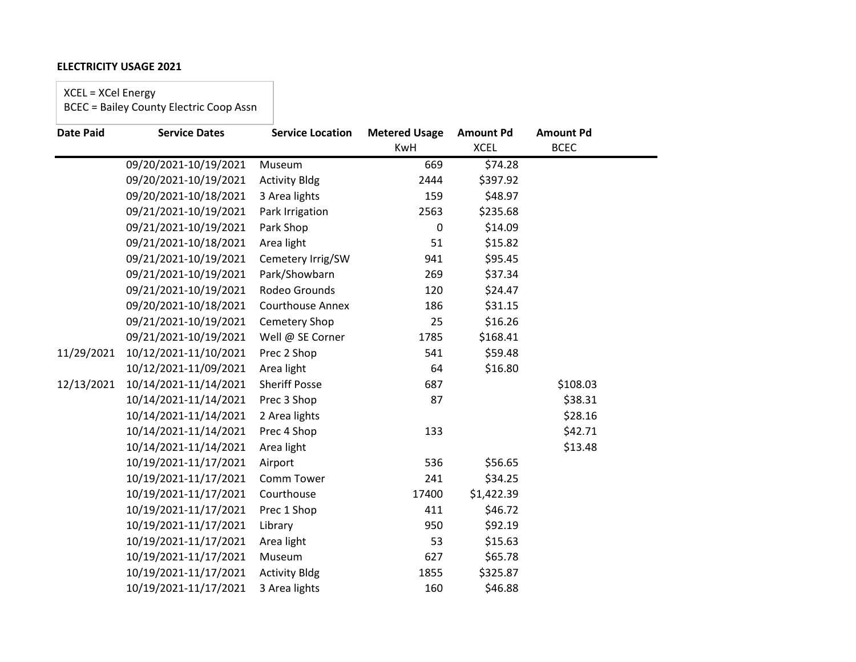XCEL = XCel Energy

| <b>Date Paid</b> | <b>Service Dates</b>  | <b>Service Location</b> | <b>Metered Usage</b> | <b>Amount Pd</b> | <b>Amount Pd</b> |
|------------------|-----------------------|-------------------------|----------------------|------------------|------------------|
|                  |                       |                         | <b>KwH</b>           | <b>XCEL</b>      | <b>BCEC</b>      |
|                  | 09/20/2021-10/19/2021 | Museum                  | 669                  | \$74.28          |                  |
|                  | 09/20/2021-10/19/2021 | <b>Activity Bldg</b>    | 2444                 | \$397.92         |                  |
|                  | 09/20/2021-10/18/2021 | 3 Area lights           | 159                  | \$48.97          |                  |
|                  | 09/21/2021-10/19/2021 | Park Irrigation         | 2563                 | \$235.68         |                  |
|                  | 09/21/2021-10/19/2021 | Park Shop               | 0                    | \$14.09          |                  |
|                  | 09/21/2021-10/18/2021 | Area light              | 51                   | \$15.82          |                  |
|                  | 09/21/2021-10/19/2021 | Cemetery Irrig/SW       | 941                  | \$95.45          |                  |
|                  | 09/21/2021-10/19/2021 | Park/Showbarn           | 269                  | \$37.34          |                  |
|                  | 09/21/2021-10/19/2021 | Rodeo Grounds           | 120                  | \$24.47          |                  |
|                  | 09/20/2021-10/18/2021 | Courthouse Annex        | 186                  | \$31.15          |                  |
|                  | 09/21/2021-10/19/2021 | Cemetery Shop           | 25                   | \$16.26          |                  |
|                  | 09/21/2021-10/19/2021 | Well @ SE Corner        | 1785                 | \$168.41         |                  |
| 11/29/2021       | 10/12/2021-11/10/2021 | Prec 2 Shop             | 541                  | \$59.48          |                  |
|                  | 10/12/2021-11/09/2021 | Area light              | 64                   | \$16.80          |                  |
| 12/13/2021       | 10/14/2021-11/14/2021 | <b>Sheriff Posse</b>    | 687                  |                  | \$108.03         |
|                  | 10/14/2021-11/14/2021 | Prec 3 Shop             | 87                   |                  | \$38.31          |
|                  | 10/14/2021-11/14/2021 | 2 Area lights           |                      |                  | \$28.16          |
|                  | 10/14/2021-11/14/2021 | Prec 4 Shop             | 133                  |                  | \$42.71          |
|                  | 10/14/2021-11/14/2021 | Area light              |                      |                  | \$13.48          |
|                  | 10/19/2021-11/17/2021 | Airport                 | 536                  | \$56.65          |                  |
|                  | 10/19/2021-11/17/2021 | Comm Tower              | 241                  | \$34.25          |                  |
|                  | 10/19/2021-11/17/2021 | Courthouse              | 17400                | \$1,422.39       |                  |
|                  | 10/19/2021-11/17/2021 | Prec 1 Shop             | 411                  | \$46.72          |                  |
|                  | 10/19/2021-11/17/2021 | Library                 | 950                  | \$92.19          |                  |
|                  | 10/19/2021-11/17/2021 | Area light              | 53                   | \$15.63          |                  |
|                  | 10/19/2021-11/17/2021 | Museum                  | 627                  | \$65.78          |                  |
|                  | 10/19/2021-11/17/2021 | <b>Activity Bldg</b>    | 1855                 | \$325.87         |                  |
|                  | 10/19/2021-11/17/2021 | 3 Area lights           | 160                  | \$46.88          |                  |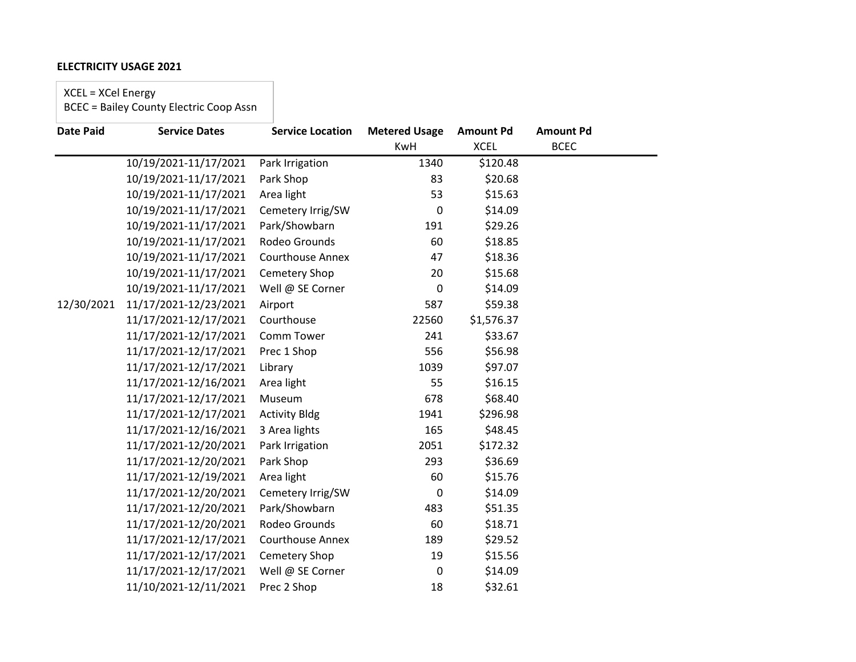XCEL = XCel Energy

| <b>Date Paid</b> | <b>Service Dates</b>  | <b>Service Location</b> | <b>Metered Usage</b> | <b>Amount Pd</b> | <b>Amount Pd</b> |
|------------------|-----------------------|-------------------------|----------------------|------------------|------------------|
|                  |                       |                         | <b>KwH</b>           | <b>XCEL</b>      | <b>BCEC</b>      |
|                  | 10/19/2021-11/17/2021 | Park Irrigation         | 1340                 | \$120.48         |                  |
|                  | 10/19/2021-11/17/2021 | Park Shop               | 83                   | \$20.68          |                  |
|                  | 10/19/2021-11/17/2021 | Area light              | 53                   | \$15.63          |                  |
|                  | 10/19/2021-11/17/2021 | Cemetery Irrig/SW       | 0                    | \$14.09          |                  |
|                  | 10/19/2021-11/17/2021 | Park/Showbarn           | 191                  | \$29.26          |                  |
|                  | 10/19/2021-11/17/2021 | Rodeo Grounds           | 60                   | \$18.85          |                  |
|                  | 10/19/2021-11/17/2021 | <b>Courthouse Annex</b> | 47                   | \$18.36          |                  |
|                  | 10/19/2021-11/17/2021 | Cemetery Shop           | 20                   | \$15.68          |                  |
|                  | 10/19/2021-11/17/2021 | Well @ SE Corner        | 0                    | \$14.09          |                  |
| 12/30/2021       | 11/17/2021-12/23/2021 | Airport                 | 587                  | \$59.38          |                  |
|                  | 11/17/2021-12/17/2021 | Courthouse              | 22560                | \$1,576.37       |                  |
|                  | 11/17/2021-12/17/2021 | Comm Tower              | 241                  | \$33.67          |                  |
|                  | 11/17/2021-12/17/2021 | Prec 1 Shop             | 556                  | \$56.98          |                  |
|                  | 11/17/2021-12/17/2021 | Library                 | 1039                 | \$97.07          |                  |
|                  | 11/17/2021-12/16/2021 | Area light              | 55                   | \$16.15          |                  |
|                  | 11/17/2021-12/17/2021 | Museum                  | 678                  | \$68.40          |                  |
|                  | 11/17/2021-12/17/2021 | <b>Activity Bldg</b>    | 1941                 | \$296.98         |                  |
|                  | 11/17/2021-12/16/2021 | 3 Area lights           | 165                  | \$48.45          |                  |
|                  | 11/17/2021-12/20/2021 | Park Irrigation         | 2051                 | \$172.32         |                  |
|                  | 11/17/2021-12/20/2021 | Park Shop               | 293                  | \$36.69          |                  |
|                  | 11/17/2021-12/19/2021 | Area light              | 60                   | \$15.76          |                  |
|                  | 11/17/2021-12/20/2021 | Cemetery Irrig/SW       | 0                    | \$14.09          |                  |
|                  | 11/17/2021-12/20/2021 | Park/Showbarn           | 483                  | \$51.35          |                  |
|                  | 11/17/2021-12/20/2021 | Rodeo Grounds           | 60                   | \$18.71          |                  |
|                  | 11/17/2021-12/17/2021 | <b>Courthouse Annex</b> | 189                  | \$29.52          |                  |
|                  | 11/17/2021-12/17/2021 | Cemetery Shop           | 19                   | \$15.56          |                  |
|                  | 11/17/2021-12/17/2021 | Well @ SE Corner        | 0                    | \$14.09          |                  |
|                  | 11/10/2021-12/11/2021 | Prec 2 Shop             | 18                   | \$32.61          |                  |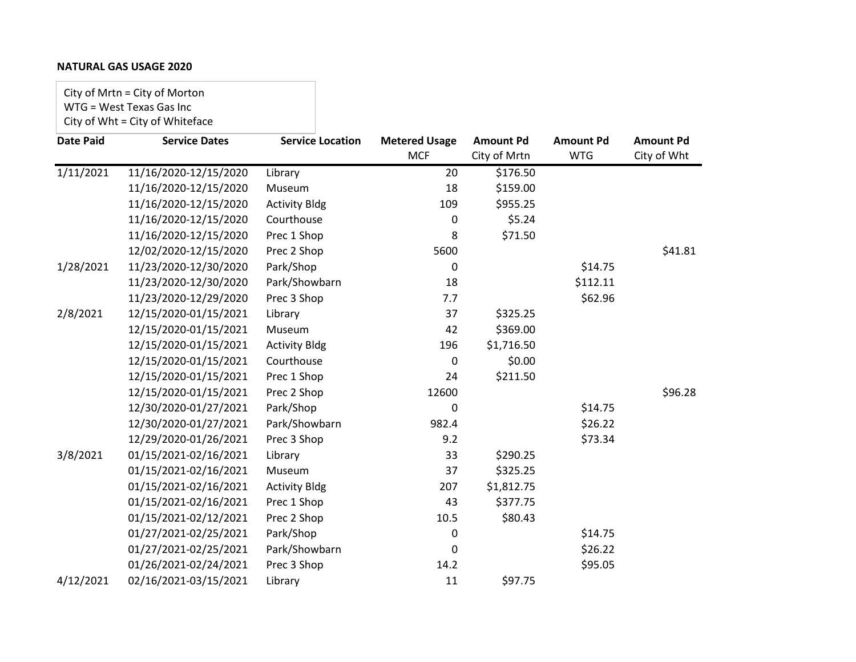# **NATURAL GAS USAGE 2020**

City of Mrtn = City of Morton WTG = West Texas Gas Inc City of Wht = City of Whiteface

| <b>Date Paid</b> | <b>Service Dates</b>  | <b>Service Location</b> | <b>Metered Usage</b> | <b>Amount Pd</b> | <b>Amount Pd</b> | <b>Amount Pd</b> |
|------------------|-----------------------|-------------------------|----------------------|------------------|------------------|------------------|
|                  |                       |                         | <b>MCF</b>           | City of Mrtn     | <b>WTG</b>       | City of Wht      |
| 1/11/2021        | 11/16/2020-12/15/2020 | Library                 | 20                   | \$176.50         |                  |                  |
|                  | 11/16/2020-12/15/2020 | Museum                  | 18                   | \$159.00         |                  |                  |
|                  | 11/16/2020-12/15/2020 | <b>Activity Bldg</b>    | 109                  | \$955.25         |                  |                  |
|                  | 11/16/2020-12/15/2020 | Courthouse              | 0                    | \$5.24           |                  |                  |
|                  | 11/16/2020-12/15/2020 | Prec 1 Shop             | 8                    | \$71.50          |                  |                  |
|                  | 12/02/2020-12/15/2020 | Prec 2 Shop             | 5600                 |                  |                  | \$41.81          |
| 1/28/2021        | 11/23/2020-12/30/2020 | Park/Shop               | 0                    |                  | \$14.75          |                  |
|                  | 11/23/2020-12/30/2020 | Park/Showbarn           | 18                   |                  | \$112.11         |                  |
|                  | 11/23/2020-12/29/2020 | Prec 3 Shop             | 7.7                  |                  | \$62.96          |                  |
| 2/8/2021         | 12/15/2020-01/15/2021 | Library                 | 37                   | \$325.25         |                  |                  |
|                  | 12/15/2020-01/15/2021 | Museum                  | 42                   | \$369.00         |                  |                  |
|                  | 12/15/2020-01/15/2021 | <b>Activity Bldg</b>    | 196                  | \$1,716.50       |                  |                  |
|                  | 12/15/2020-01/15/2021 | Courthouse              | 0                    | \$0.00           |                  |                  |
|                  | 12/15/2020-01/15/2021 | Prec 1 Shop             | 24                   | \$211.50         |                  |                  |
|                  | 12/15/2020-01/15/2021 | Prec 2 Shop             | 12600                |                  |                  | \$96.28          |
|                  | 12/30/2020-01/27/2021 | Park/Shop               | 0                    |                  | \$14.75          |                  |
|                  | 12/30/2020-01/27/2021 | Park/Showbarn           | 982.4                |                  | \$26.22          |                  |
|                  | 12/29/2020-01/26/2021 | Prec 3 Shop             | 9.2                  |                  | \$73.34          |                  |
| 3/8/2021         | 01/15/2021-02/16/2021 | Library                 | 33                   | \$290.25         |                  |                  |
|                  | 01/15/2021-02/16/2021 | Museum                  | 37                   | \$325.25         |                  |                  |
|                  | 01/15/2021-02/16/2021 | <b>Activity Bldg</b>    | 207                  | \$1,812.75       |                  |                  |
|                  | 01/15/2021-02/16/2021 | Prec 1 Shop             | 43                   | \$377.75         |                  |                  |
|                  | 01/15/2021-02/12/2021 | Prec 2 Shop             | 10.5                 | \$80.43          |                  |                  |
|                  | 01/27/2021-02/25/2021 | Park/Shop               | 0                    |                  | \$14.75          |                  |
|                  | 01/27/2021-02/25/2021 | Park/Showbarn           | 0                    |                  | \$26.22          |                  |
|                  | 01/26/2021-02/24/2021 | Prec 3 Shop             | 14.2                 |                  | \$95.05          |                  |
| 4/12/2021        | 02/16/2021-03/15/2021 | Library                 | 11                   | \$97.75          |                  |                  |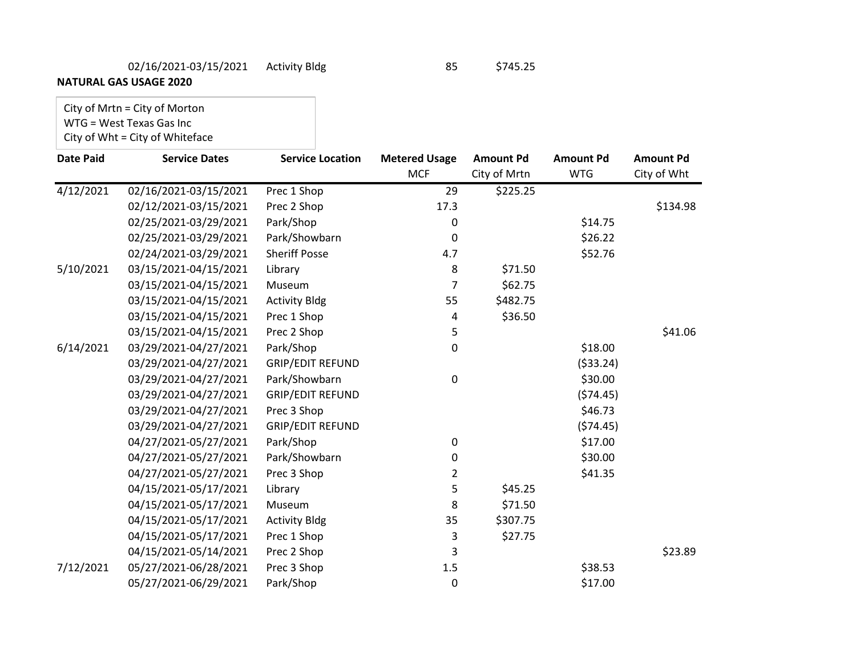# 02/16/2021-03/15/2021 Activity Bldg 85 \$745.25

**NATURAL GAS USAGE 2020**

# City of Mrtn = City of Morton WTG = West Texas Gas Inc

# City of Wht = City of Whiteface

| <b>Date Paid</b> | <b>Service Dates</b>  | <b>Service Location</b> | <b>Metered Usage</b> | <b>Amount Pd</b> | <b>Amount Pd</b> | <b>Amount Pd</b> |
|------------------|-----------------------|-------------------------|----------------------|------------------|------------------|------------------|
|                  |                       |                         | <b>MCF</b>           | City of Mrtn     | <b>WTG</b>       | City of Wht      |
| 4/12/2021        | 02/16/2021-03/15/2021 | Prec 1 Shop             | 29                   | \$225.25         |                  |                  |
|                  | 02/12/2021-03/15/2021 | Prec 2 Shop             | 17.3                 |                  |                  | \$134.98         |
|                  | 02/25/2021-03/29/2021 | Park/Shop               | 0                    |                  | \$14.75          |                  |
|                  | 02/25/2021-03/29/2021 | Park/Showbarn           | $\pmb{0}$            |                  | \$26.22          |                  |
|                  | 02/24/2021-03/29/2021 | <b>Sheriff Posse</b>    | 4.7                  |                  | \$52.76          |                  |
| 5/10/2021        | 03/15/2021-04/15/2021 | Library                 | 8                    | \$71.50          |                  |                  |
|                  | 03/15/2021-04/15/2021 | Museum                  | $\overline{7}$       | \$62.75          |                  |                  |
|                  | 03/15/2021-04/15/2021 | <b>Activity Bldg</b>    | 55                   | \$482.75         |                  |                  |
|                  | 03/15/2021-04/15/2021 | Prec 1 Shop             | 4                    | \$36.50          |                  |                  |
|                  | 03/15/2021-04/15/2021 | Prec 2 Shop             | 5                    |                  |                  | \$41.06          |
| 6/14/2021        | 03/29/2021-04/27/2021 | Park/Shop               | 0                    |                  | \$18.00          |                  |
|                  | 03/29/2021-04/27/2021 | <b>GRIP/EDIT REFUND</b> |                      |                  | ( \$33.24)       |                  |
|                  | 03/29/2021-04/27/2021 | Park/Showbarn           | 0                    |                  | \$30.00          |                  |
|                  | 03/29/2021-04/27/2021 | <b>GRIP/EDIT REFUND</b> |                      |                  | (574.45)         |                  |
|                  | 03/29/2021-04/27/2021 | Prec 3 Shop             |                      |                  | \$46.73          |                  |
|                  | 03/29/2021-04/27/2021 | <b>GRIP/EDIT REFUND</b> |                      |                  | (574.45)         |                  |
|                  | 04/27/2021-05/27/2021 | Park/Shop               | 0                    |                  | \$17.00          |                  |
|                  | 04/27/2021-05/27/2021 | Park/Showbarn           | 0                    |                  | \$30.00          |                  |
|                  | 04/27/2021-05/27/2021 | Prec 3 Shop             | $\overline{2}$       |                  | \$41.35          |                  |
|                  | 04/15/2021-05/17/2021 | Library                 | 5                    | \$45.25          |                  |                  |
|                  | 04/15/2021-05/17/2021 | Museum                  | 8                    | \$71.50          |                  |                  |
|                  | 04/15/2021-05/17/2021 | <b>Activity Bldg</b>    | 35                   | \$307.75         |                  |                  |
|                  | 04/15/2021-05/17/2021 | Prec 1 Shop             | 3                    | \$27.75          |                  |                  |
|                  | 04/15/2021-05/14/2021 | Prec 2 Shop             | 3                    |                  |                  | \$23.89          |
| 7/12/2021        | 05/27/2021-06/28/2021 | Prec 3 Shop             | 1.5                  |                  | \$38.53          |                  |
|                  | 05/27/2021-06/29/2021 | Park/Shop               | 0                    |                  | \$17.00          |                  |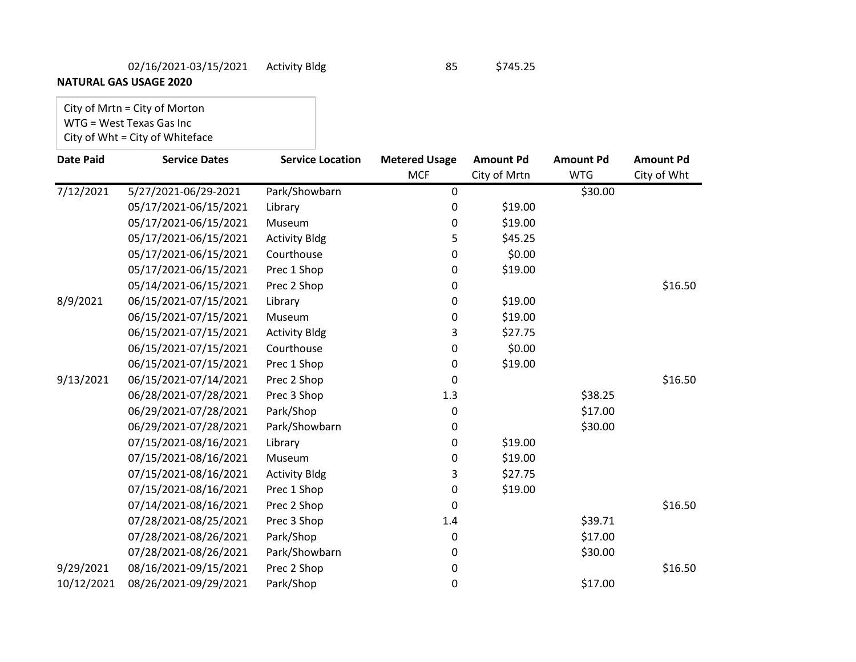# 02/16/2021-03/15/2021 Activity Bldg 85 \$745.25

**NATURAL GAS USAGE 2020**

# City of Mrtn = City of Morton WTG = West Texas Gas Inc

# City of Wht = City of Whiteface

| <b>Date Paid</b> | <b>Service Dates</b>  | <b>Service Location</b> | <b>Metered Usage</b> | <b>Amount Pd</b> | <b>Amount Pd</b> | <b>Amount Pd</b> |
|------------------|-----------------------|-------------------------|----------------------|------------------|------------------|------------------|
|                  |                       |                         | <b>MCF</b>           | City of Mrtn     | <b>WTG</b>       | City of Wht      |
| 7/12/2021        | 5/27/2021-06/29-2021  | Park/Showbarn           | $\pmb{0}$            |                  | \$30.00          |                  |
|                  | 05/17/2021-06/15/2021 | Library                 | 0                    | \$19.00          |                  |                  |
|                  | 05/17/2021-06/15/2021 | Museum                  | 0                    | \$19.00          |                  |                  |
|                  | 05/17/2021-06/15/2021 | <b>Activity Bldg</b>    | 5                    | \$45.25          |                  |                  |
|                  | 05/17/2021-06/15/2021 | Courthouse              | 0                    | \$0.00           |                  |                  |
|                  | 05/17/2021-06/15/2021 | Prec 1 Shop             | 0                    | \$19.00          |                  |                  |
|                  | 05/14/2021-06/15/2021 | Prec 2 Shop             | 0                    |                  |                  | \$16.50          |
| 8/9/2021         | 06/15/2021-07/15/2021 | Library                 | 0                    | \$19.00          |                  |                  |
|                  | 06/15/2021-07/15/2021 | Museum                  | 0                    | \$19.00          |                  |                  |
|                  | 06/15/2021-07/15/2021 | <b>Activity Bldg</b>    | 3                    | \$27.75          |                  |                  |
|                  | 06/15/2021-07/15/2021 | Courthouse              | 0                    | \$0.00           |                  |                  |
|                  | 06/15/2021-07/15/2021 | Prec 1 Shop             | 0                    | \$19.00          |                  |                  |
| 9/13/2021        | 06/15/2021-07/14/2021 | Prec 2 Shop             | 0                    |                  |                  | \$16.50          |
|                  | 06/28/2021-07/28/2021 | Prec 3 Shop             | 1.3                  |                  | \$38.25          |                  |
|                  | 06/29/2021-07/28/2021 | Park/Shop               | 0                    |                  | \$17.00          |                  |
|                  | 06/29/2021-07/28/2021 | Park/Showbarn           | 0                    |                  | \$30.00          |                  |
|                  | 07/15/2021-08/16/2021 | Library                 | 0                    | \$19.00          |                  |                  |
|                  | 07/15/2021-08/16/2021 | Museum                  | 0                    | \$19.00          |                  |                  |
|                  | 07/15/2021-08/16/2021 | <b>Activity Bldg</b>    | 3                    | \$27.75          |                  |                  |
|                  | 07/15/2021-08/16/2021 | Prec 1 Shop             | 0                    | \$19.00          |                  |                  |
|                  | 07/14/2021-08/16/2021 | Prec 2 Shop             | 0                    |                  |                  | \$16.50          |
|                  | 07/28/2021-08/25/2021 | Prec 3 Shop             | 1.4                  |                  | \$39.71          |                  |
|                  | 07/28/2021-08/26/2021 | Park/Shop               | 0                    |                  | \$17.00          |                  |
|                  | 07/28/2021-08/26/2021 | Park/Showbarn           | 0                    |                  | \$30.00          |                  |
| 9/29/2021        | 08/16/2021-09/15/2021 | Prec 2 Shop             | 0                    |                  |                  | \$16.50          |
| 10/12/2021       | 08/26/2021-09/29/2021 | Park/Shop               | 0                    |                  | \$17.00          |                  |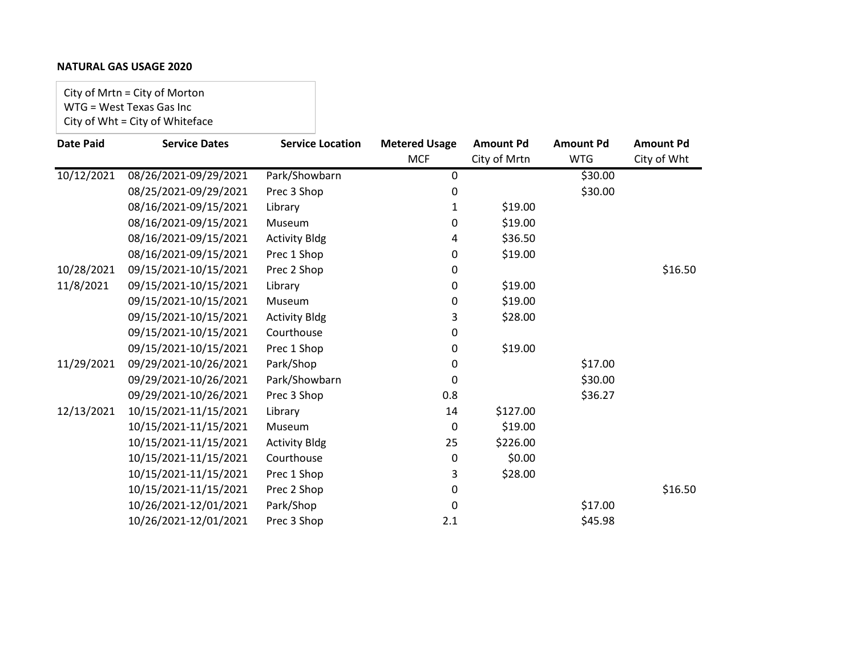# **NATURAL GAS USAGE 2020**

City of Mrtn = City of Morton WTG = West Texas Gas Inc City of Wht = City of Whiteface

| <b>Date Paid</b> | <b>Service Dates</b>  | <b>Service Location</b> | <b>Metered Usage</b> | <b>Amount Pd</b> | <b>Amount Pd</b> | <b>Amount Pd</b> |
|------------------|-----------------------|-------------------------|----------------------|------------------|------------------|------------------|
|                  |                       |                         | <b>MCF</b>           | City of Mrtn     | <b>WTG</b>       | City of Wht      |
| 10/12/2021       | 08/26/2021-09/29/2021 | Park/Showbarn           | 0                    |                  | \$30.00          |                  |
|                  | 08/25/2021-09/29/2021 | Prec 3 Shop             | 0                    |                  | \$30.00          |                  |
|                  | 08/16/2021-09/15/2021 | Library                 | $\mathbf{1}$         | \$19.00          |                  |                  |
|                  | 08/16/2021-09/15/2021 | Museum                  | 0                    | \$19.00          |                  |                  |
|                  | 08/16/2021-09/15/2021 | <b>Activity Bldg</b>    | 4                    | \$36.50          |                  |                  |
|                  | 08/16/2021-09/15/2021 | Prec 1 Shop             | 0                    | \$19.00          |                  |                  |
| 10/28/2021       | 09/15/2021-10/15/2021 | Prec 2 Shop             | 0                    |                  |                  | \$16.50          |
| 11/8/2021        | 09/15/2021-10/15/2021 | Library                 | 0                    | \$19.00          |                  |                  |
|                  | 09/15/2021-10/15/2021 | Museum                  | 0                    | \$19.00          |                  |                  |
|                  | 09/15/2021-10/15/2021 | <b>Activity Bldg</b>    | 3                    | \$28.00          |                  |                  |
|                  | 09/15/2021-10/15/2021 | Courthouse              | 0                    |                  |                  |                  |
|                  | 09/15/2021-10/15/2021 | Prec 1 Shop             | 0                    | \$19.00          |                  |                  |
| 11/29/2021       | 09/29/2021-10/26/2021 | Park/Shop               | 0                    |                  | \$17.00          |                  |
|                  | 09/29/2021-10/26/2021 | Park/Showbarn           | 0                    |                  | \$30.00          |                  |
|                  | 09/29/2021-10/26/2021 | Prec 3 Shop             | 0.8                  |                  | \$36.27          |                  |
| 12/13/2021       | 10/15/2021-11/15/2021 | Library                 | 14                   | \$127.00         |                  |                  |
|                  | 10/15/2021-11/15/2021 | Museum                  | 0                    | \$19.00          |                  |                  |
|                  | 10/15/2021-11/15/2021 | <b>Activity Bldg</b>    | 25                   | \$226.00         |                  |                  |
|                  | 10/15/2021-11/15/2021 | Courthouse              | 0                    | \$0.00           |                  |                  |
|                  | 10/15/2021-11/15/2021 | Prec 1 Shop             | 3                    | \$28.00          |                  |                  |
|                  | 10/15/2021-11/15/2021 | Prec 2 Shop             | 0                    |                  |                  | \$16.50          |
|                  | 10/26/2021-12/01/2021 | Park/Shop               | 0                    |                  | \$17.00          |                  |
|                  | 10/26/2021-12/01/2021 | Prec 3 Shop             | 2.1                  |                  | \$45.98          |                  |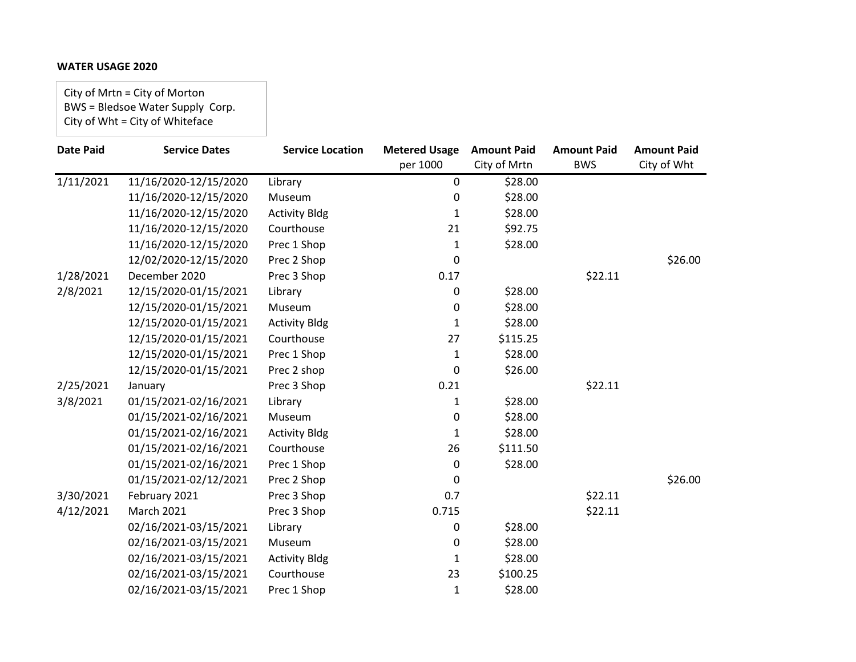City of Mrtn = City of Morton BWS = Bledsoe Water Supply Corp. City of Wht = City of Whiteface

| <b>Date Paid</b> | <b>Service Dates</b>  | <b>Service Location</b> | <b>Metered Usage</b> | <b>Amount Paid</b> | <b>Amount Paid</b> | <b>Amount Paid</b> |
|------------------|-----------------------|-------------------------|----------------------|--------------------|--------------------|--------------------|
|                  |                       |                         | per 1000             | City of Mrtn       | <b>BWS</b>         | City of Wht        |
| 1/11/2021        | 11/16/2020-12/15/2020 | Library                 | $\pmb{0}$            | \$28.00            |                    |                    |
|                  | 11/16/2020-12/15/2020 | Museum                  | 0                    | \$28.00            |                    |                    |
|                  | 11/16/2020-12/15/2020 | <b>Activity Bldg</b>    | 1                    | \$28.00            |                    |                    |
|                  | 11/16/2020-12/15/2020 | Courthouse              | 21                   | \$92.75            |                    |                    |
|                  | 11/16/2020-12/15/2020 | Prec 1 Shop             | $\mathbf{1}$         | \$28.00            |                    |                    |
|                  | 12/02/2020-12/15/2020 | Prec 2 Shop             | 0                    |                    |                    | \$26.00            |
| 1/28/2021        | December 2020         | Prec 3 Shop             | 0.17                 |                    | \$22.11            |                    |
| 2/8/2021         | 12/15/2020-01/15/2021 | Library                 | 0                    | \$28.00            |                    |                    |
|                  | 12/15/2020-01/15/2021 | Museum                  | 0                    | \$28.00            |                    |                    |
|                  | 12/15/2020-01/15/2021 | <b>Activity Bldg</b>    | 1                    | \$28.00            |                    |                    |
|                  | 12/15/2020-01/15/2021 | Courthouse              | 27                   | \$115.25           |                    |                    |
|                  | 12/15/2020-01/15/2021 | Prec 1 Shop             | $\mathbf{1}$         | \$28.00            |                    |                    |
|                  | 12/15/2020-01/15/2021 | Prec 2 shop             | 0                    | \$26.00            |                    |                    |
| 2/25/2021        | January               | Prec 3 Shop             | 0.21                 |                    | \$22.11            |                    |
| 3/8/2021         | 01/15/2021-02/16/2021 | Library                 | $\mathbf{1}$         | \$28.00            |                    |                    |
|                  | 01/15/2021-02/16/2021 | Museum                  | 0                    | \$28.00            |                    |                    |
|                  | 01/15/2021-02/16/2021 | <b>Activity Bldg</b>    | $\mathbf{1}$         | \$28.00            |                    |                    |
|                  | 01/15/2021-02/16/2021 | Courthouse              | 26                   | \$111.50           |                    |                    |
|                  | 01/15/2021-02/16/2021 | Prec 1 Shop             | 0                    | \$28.00            |                    |                    |
|                  | 01/15/2021-02/12/2021 | Prec 2 Shop             | 0                    |                    |                    | \$26.00            |
| 3/30/2021        | February 2021         | Prec 3 Shop             | 0.7                  |                    | \$22.11            |                    |
| 4/12/2021        | <b>March 2021</b>     | Prec 3 Shop             | 0.715                |                    | \$22.11            |                    |
|                  | 02/16/2021-03/15/2021 | Library                 | 0                    | \$28.00            |                    |                    |
|                  | 02/16/2021-03/15/2021 | Museum                  | 0                    | \$28.00            |                    |                    |
|                  | 02/16/2021-03/15/2021 | <b>Activity Bldg</b>    | 1                    | \$28.00            |                    |                    |
|                  | 02/16/2021-03/15/2021 | Courthouse              | 23                   | \$100.25           |                    |                    |
|                  | 02/16/2021-03/15/2021 | Prec 1 Shop             | $\mathbf 1$          | \$28.00            |                    |                    |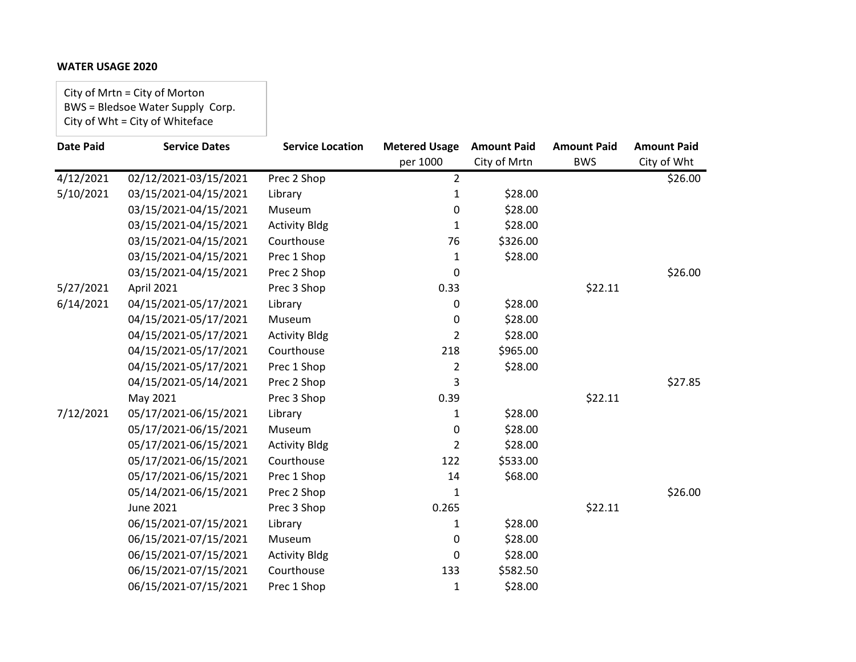City of Mrtn = City of Morton BWS = Bledsoe Water Supply Corp. City of Wht = City of Whiteface

| <b>Date Paid</b> | <b>Service Dates</b>  | <b>Service Location</b> | <b>Metered Usage</b> | <b>Amount Paid</b> | <b>Amount Paid</b> | <b>Amount Paid</b> |
|------------------|-----------------------|-------------------------|----------------------|--------------------|--------------------|--------------------|
|                  |                       |                         | per 1000             | City of Mrtn       | <b>BWS</b>         | City of Wht        |
| 4/12/2021        | 02/12/2021-03/15/2021 | Prec 2 Shop             | $\overline{2}$       |                    |                    | \$26.00            |
| 5/10/2021        | 03/15/2021-04/15/2021 | Library                 | $\mathbf{1}$         | \$28.00            |                    |                    |
|                  | 03/15/2021-04/15/2021 | Museum                  | 0                    | \$28.00            |                    |                    |
|                  | 03/15/2021-04/15/2021 | <b>Activity Bldg</b>    | 1                    | \$28.00            |                    |                    |
|                  | 03/15/2021-04/15/2021 | Courthouse              | 76                   | \$326.00           |                    |                    |
|                  | 03/15/2021-04/15/2021 | Prec 1 Shop             | 1                    | \$28.00            |                    |                    |
|                  | 03/15/2021-04/15/2021 | Prec 2 Shop             | 0                    |                    |                    | \$26.00            |
| 5/27/2021        | April 2021            | Prec 3 Shop             | 0.33                 |                    | \$22.11            |                    |
| 6/14/2021        | 04/15/2021-05/17/2021 | Library                 | 0                    | \$28.00            |                    |                    |
|                  | 04/15/2021-05/17/2021 | Museum                  | 0                    | \$28.00            |                    |                    |
|                  | 04/15/2021-05/17/2021 | <b>Activity Bldg</b>    | 2                    | \$28.00            |                    |                    |
|                  | 04/15/2021-05/17/2021 | Courthouse              | 218                  | \$965.00           |                    |                    |
|                  | 04/15/2021-05/17/2021 | Prec 1 Shop             | 2                    | \$28.00            |                    |                    |
|                  | 04/15/2021-05/14/2021 | Prec 2 Shop             | 3                    |                    |                    | \$27.85            |
|                  | May 2021              | Prec 3 Shop             | 0.39                 |                    | \$22.11            |                    |
| 7/12/2021        | 05/17/2021-06/15/2021 | Library                 | 1                    | \$28.00            |                    |                    |
|                  | 05/17/2021-06/15/2021 | Museum                  | 0                    | \$28.00            |                    |                    |
|                  | 05/17/2021-06/15/2021 | <b>Activity Bldg</b>    | $\overline{2}$       | \$28.00            |                    |                    |
|                  | 05/17/2021-06/15/2021 | Courthouse              | 122                  | \$533.00           |                    |                    |
|                  | 05/17/2021-06/15/2021 | Prec 1 Shop             | 14                   | \$68.00            |                    |                    |
|                  | 05/14/2021-06/15/2021 | Prec 2 Shop             | 1                    |                    |                    | \$26.00            |
|                  | <b>June 2021</b>      | Prec 3 Shop             | 0.265                |                    | \$22.11            |                    |
|                  | 06/15/2021-07/15/2021 | Library                 | 1                    | \$28.00            |                    |                    |
|                  | 06/15/2021-07/15/2021 | Museum                  | 0                    | \$28.00            |                    |                    |
|                  | 06/15/2021-07/15/2021 | <b>Activity Bldg</b>    | 0                    | \$28.00            |                    |                    |
|                  | 06/15/2021-07/15/2021 | Courthouse              | 133                  | \$582.50           |                    |                    |
|                  | 06/15/2021-07/15/2021 | Prec 1 Shop             | 1                    | \$28.00            |                    |                    |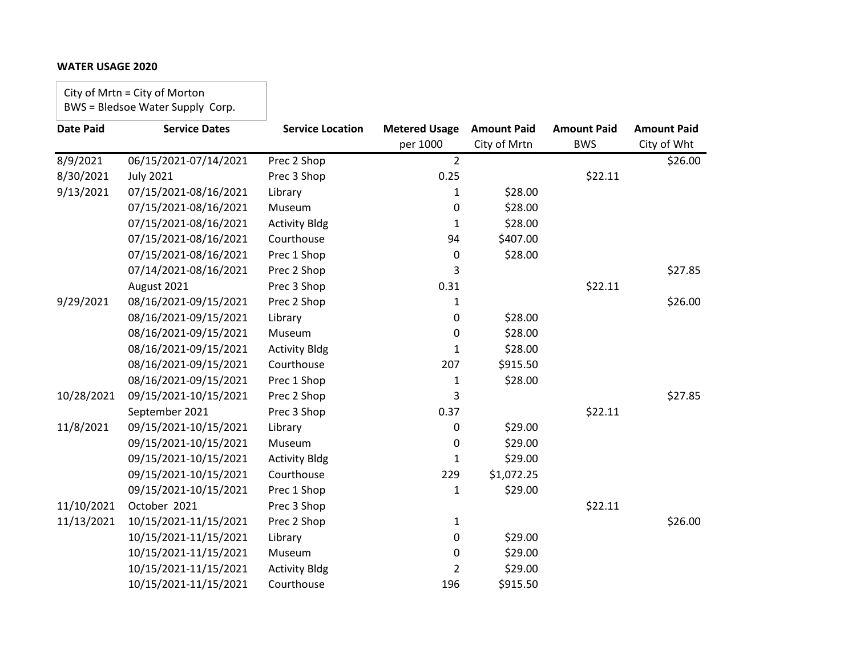City of Mrtn = City of Morton BWS = Bledsoe Water Supply Corp.

| <b>Date Paid</b> | <b>Service Dates</b>  | <b>Service Location</b> | <b>Metered Usage</b> | <b>Amount Paid</b> | <b>Amount Paid</b> | <b>Amount Paid</b> |
|------------------|-----------------------|-------------------------|----------------------|--------------------|--------------------|--------------------|
|                  |                       |                         | per 1000             | City of Mrtn       | <b>BWS</b>         | City of Wht        |
| 8/9/2021         | 06/15/2021-07/14/2021 | Prec 2 Shop             | $\overline{2}$       |                    |                    | \$26.00            |
| 8/30/2021        | <b>July 2021</b>      | Prec 3 Shop             | 0.25                 |                    | \$22.11            |                    |
| 9/13/2021        | 07/15/2021-08/16/2021 | Library                 | 1                    | \$28.00            |                    |                    |
|                  | 07/15/2021-08/16/2021 | Museum                  | 0                    | \$28.00            |                    |                    |
|                  | 07/15/2021-08/16/2021 | <b>Activity Bldg</b>    | 1                    | \$28.00            |                    |                    |
|                  | 07/15/2021-08/16/2021 | Courthouse              | 94                   | \$407.00           |                    |                    |
|                  | 07/15/2021-08/16/2021 | Prec 1 Shop             | 0                    | \$28.00            |                    |                    |
|                  | 07/14/2021-08/16/2021 | Prec 2 Shop             | 3                    |                    |                    | \$27.85            |
|                  | August 2021           | Prec 3 Shop             | 0.31                 |                    | \$22.11            |                    |
| 9/29/2021        | 08/16/2021-09/15/2021 | Prec 2 Shop             | 1                    |                    |                    | \$26.00            |
|                  | 08/16/2021-09/15/2021 | Library                 | 0                    | \$28.00            |                    |                    |
|                  | 08/16/2021-09/15/2021 | Museum                  | 0                    | \$28.00            |                    |                    |
|                  | 08/16/2021-09/15/2021 | <b>Activity Bldg</b>    | $\mathbf{1}$         | \$28.00            |                    |                    |
|                  | 08/16/2021-09/15/2021 | Courthouse              | 207                  | \$915.50           |                    |                    |
|                  | 08/16/2021-09/15/2021 | Prec 1 Shop             | $\mathbf{1}$         | \$28.00            |                    |                    |
| 10/28/2021       | 09/15/2021-10/15/2021 | Prec 2 Shop             | 3                    |                    |                    | \$27.85            |
|                  | September 2021        | Prec 3 Shop             | 0.37                 |                    | \$22.11            |                    |
| 11/8/2021        | 09/15/2021-10/15/2021 | Library                 | 0                    | \$29.00            |                    |                    |
|                  | 09/15/2021-10/15/2021 | Museum                  | 0                    | \$29.00            |                    |                    |
|                  | 09/15/2021-10/15/2021 | <b>Activity Bldg</b>    | 1                    | \$29.00            |                    |                    |
|                  | 09/15/2021-10/15/2021 | Courthouse              | 229                  | \$1,072.25         |                    |                    |
|                  | 09/15/2021-10/15/2021 | Prec 1 Shop             | 1                    | \$29.00            |                    |                    |
| 11/10/2021       | October 2021          | Prec 3 Shop             |                      |                    | \$22.11            |                    |
| 11/13/2021       | 10/15/2021-11/15/2021 | Prec 2 Shop             | $\mathbf{1}$         |                    |                    | \$26.00            |
|                  | 10/15/2021-11/15/2021 | Library                 | 0                    | \$29.00            |                    |                    |
|                  | 10/15/2021-11/15/2021 | Museum                  | 0                    | \$29.00            |                    |                    |
|                  | 10/15/2021-11/15/2021 | <b>Activity Bldg</b>    | 2                    | \$29.00            |                    |                    |
|                  | 10/15/2021-11/15/2021 | Courthouse              | 196                  | \$915.50           |                    |                    |